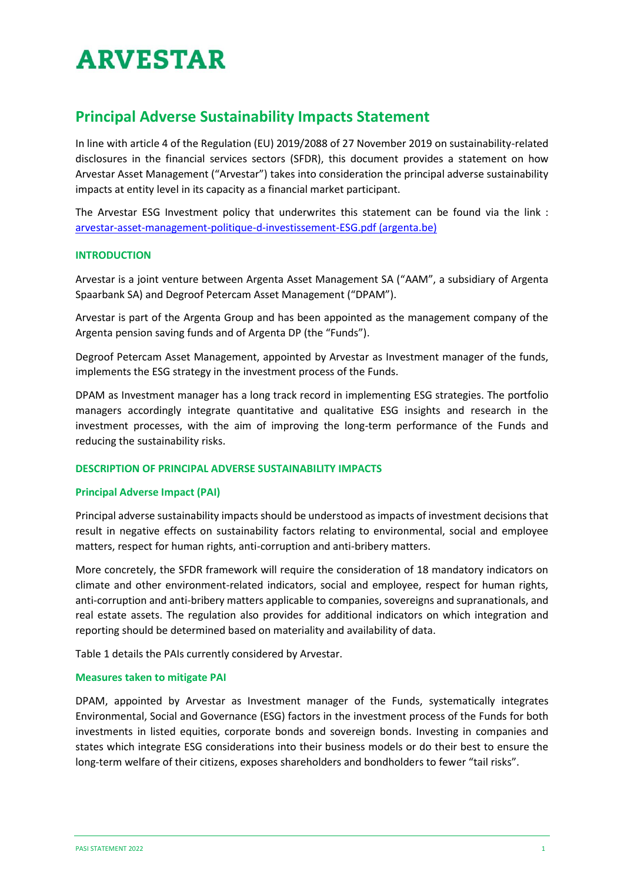# **ARVESTAR**

## **Principal Adverse Sustainability Impacts Statement**

In line with article 4 of the Regulation (EU) 2019/2088 of 27 November 2019 on sustainability-related disclosures in the financial services sectors (SFDR), this document provides a statement on how Arvestar Asset Management ("Arvestar") takes into consideration the principal adverse sustainability impacts at entity level in its capacity as a financial market participant.

The Arvestar ESG Investment policy that underwrites this statement can be found via the link : [arvestar-asset-management-politique-d-investissement-ESG.pdf \(argenta.be\)](https://www.argenta.be/content/dam/argenta/documents/investir/assurances-vie/durabilite/arvestar-asset-management-politique-d-investissement-ESG.pdf)

#### **INTRODUCTION**

Arvestar is a joint venture between Argenta Asset Management SA ("AAM", a subsidiary of Argenta Spaarbank SA) and Degroof Petercam Asset Management ("DPAM").

Arvestar is part of the Argenta Group and has been appointed as the management company of the Argenta pension saving funds and of Argenta DP (the "Funds").

Degroof Petercam Asset Management, appointed by Arvestar as Investment manager of the funds, implements the ESG strategy in the investment process of the Funds.

DPAM as Investment manager has a long track record in implementing ESG strategies. The portfolio managers accordingly integrate quantitative and qualitative ESG insights and research in the investment processes, with the aim of improving the long-term performance of the Funds and reducing the sustainability risks.

#### **DESCRIPTION OF PRINCIPAL ADVERSE SUSTAINABILITY IMPACTS**

#### **Principal Adverse Impact (PAI)**

Principal adverse sustainability impacts should be understood as impacts of investment decisions that result in negative effects on sustainability factors relating to environmental, social and employee matters, respect for human rights, anti-corruption and anti-bribery matters.

More concretely, the SFDR framework will require the consideration of 18 mandatory indicators on climate and other environment-related indicators, social and employee, respect for human rights, anti-corruption and anti-bribery matters applicable to companies, sovereigns and supranationals, and real estate assets. The regulation also provides for additional indicators on which integration and reporting should be determined based on materiality and availability of data.

Table 1 details the PAIs currently considered by Arvestar.

#### **Measures taken to mitigate PAI**

DPAM, appointed by Arvestar as Investment manager of the Funds, systematically integrates Environmental, Social and Governance (ESG) factors in the investment process of the Funds for both investments in listed equities, corporate bonds and sovereign bonds. Investing in companies and states which integrate ESG considerations into their business models or do their best to ensure the long-term welfare of their citizens, exposes shareholders and bondholders to fewer "tail risks".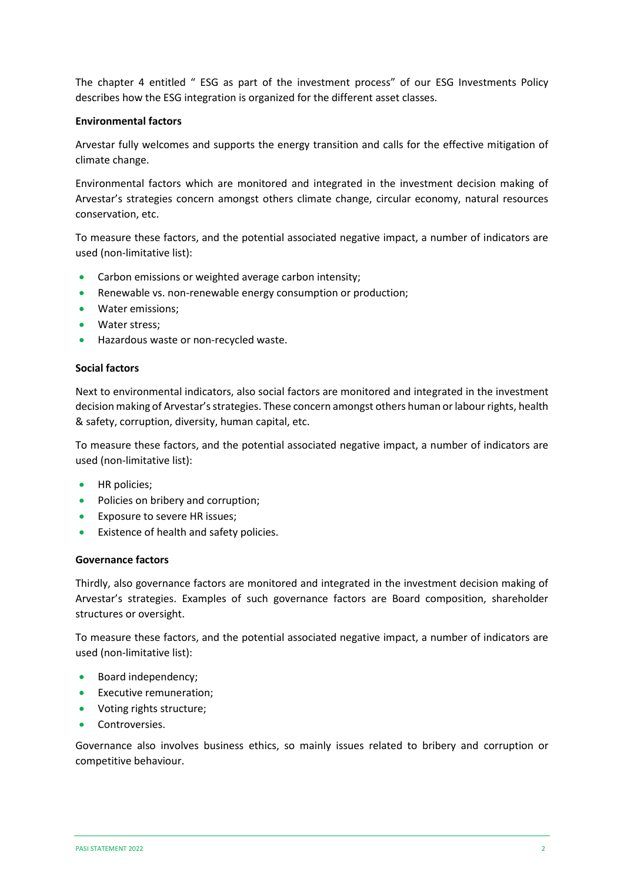The chapter 4 entitled " ESG as part of the investment process" of our ESG Investments Policy describes how the ESG integration is organized for the different asset classes.

#### **Environmental factors**

Arvestar fully welcomes and supports the energy transition and calls for the effective mitigation of climate change.

Environmental factors which are monitored and integrated in the investment decision making of Arvestar's strategies concern amongst others climate change, circular economy, natural resources conservation, etc.

To measure these factors, and the potential associated negative impact, a number of indicators are used (non-limitative list):

- Carbon emissions or weighted average carbon intensity;
- Renewable vs. non-renewable energy consumption or production;
- Water emissions;
- Water stress;
- Hazardous waste or non-recycled waste.

#### **Social factors**

Next to environmental indicators, also social factors are monitored and integrated in the investment decision making of Arvestar's strategies. These concern amongst others human or labour rights, health & safety, corruption, diversity, human capital, etc.

To measure these factors, and the potential associated negative impact, a number of indicators are used (non-limitative list):

- HR policies;
- Policies on bribery and corruption;
- Exposure to severe HR issues;
- Existence of health and safety policies.

#### **Governance factors**

Thirdly, also governance factors are monitored and integrated in the investment decision making of Arvestar's strategies. Examples of such governance factors are Board composition, shareholder structures or oversight.

To measure these factors, and the potential associated negative impact, a number of indicators are used (non-limitative list):

- Board independency;
- Executive remuneration;
- Voting rights structure;
- Controversies.

Governance also involves business ethics, so mainly issues related to bribery and corruption or competitive behaviour.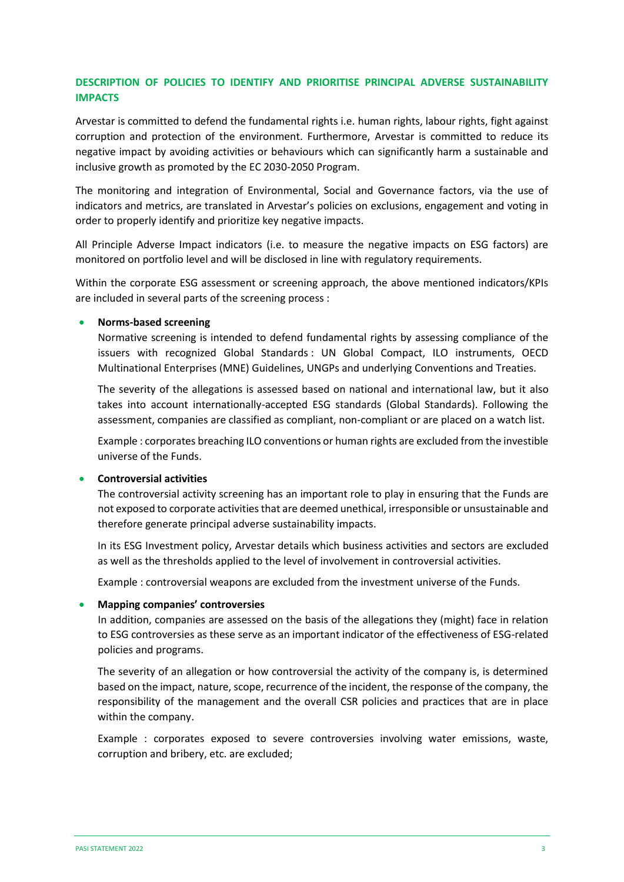#### **DESCRIPTION OF POLICIES TO IDENTIFY AND PRIORITISE PRINCIPAL ADVERSE SUSTAINABILITY IMPACTS**

Arvestar is committed to defend the fundamental rights i.e. human rights, labour rights, fight against corruption and protection of the environment. Furthermore, Arvestar is committed to reduce its negative impact by avoiding activities or behaviours which can significantly harm a sustainable and inclusive growth as promoted by the EC 2030-2050 Program.

The monitoring and integration of Environmental, Social and Governance factors, via the use of indicators and metrics, are translated in Arvestar's policies on exclusions, engagement and voting in order to properly identify and prioritize key negative impacts.

All Principle Adverse Impact indicators (i.e. to measure the negative impacts on ESG factors) are monitored on portfolio level and will be disclosed in line with regulatory requirements.

Within the corporate ESG assessment or screening approach, the above mentioned indicators/KPIs are included in several parts of the screening process :

#### • **Norms-based screening**

Normative screening is intended to defend fundamental rights by assessing compliance of the issuers with recognized Global Standards : UN Global Compact, ILO instruments, OECD Multinational Enterprises (MNE) Guidelines, UNGPs and underlying Conventions and Treaties.

The severity of the allegations is assessed based on national and international law, but it also takes into account internationally-accepted ESG standards (Global Standards). Following the assessment, companies are classified as compliant, non-compliant or are placed on a watch list.

Example : corporates breaching ILO conventions or human rights are excluded from the investible universe of the Funds.

#### • **Controversial activities**

The controversial activity screening has an important role to play in ensuring that the Funds are not exposed to corporate activities that are deemed unethical, irresponsible or unsustainable and therefore generate principal adverse sustainability impacts.

In its ESG Investment policy, Arvestar details which business activities and sectors are excluded as well as the thresholds applied to the level of involvement in controversial activities.

Example : controversial weapons are excluded from the investment universe of the Funds.

#### • **Mapping companies' controversies**

In addition, companies are assessed on the basis of the allegations they (might) face in relation to ESG controversies as these serve as an important indicator of the effectiveness of ESG-related policies and programs.

The severity of an allegation or how controversial the activity of the company is, is determined based on the impact, nature, scope, recurrence of the incident, the response of the company, the responsibility of the management and the overall CSR policies and practices that are in place within the company.

Example : corporates exposed to severe controversies involving water emissions, waste, corruption and bribery, etc. are excluded;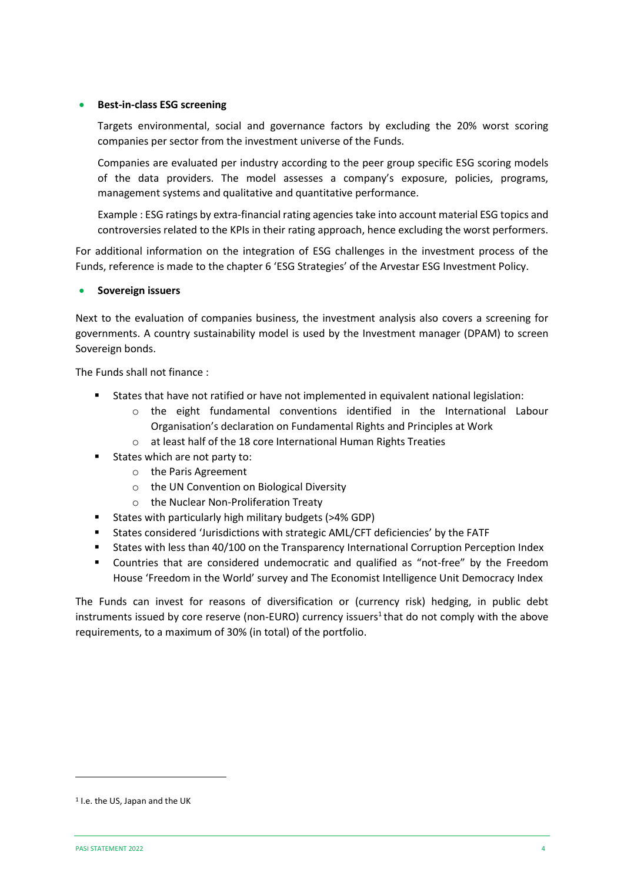#### • **Best-in-class ESG screening**

Targets environmental, social and governance factors by excluding the 20% worst scoring companies per sector from the investment universe of the Funds.

Companies are evaluated per industry according to the peer group specific ESG scoring models of the data providers. The model assesses a company's exposure, policies, programs, management systems and qualitative and quantitative performance.

Example : ESG ratings by extra-financial rating agencies take into account material ESG topics and controversies related to the KPIs in their rating approach, hence excluding the worst performers.

For additional information on the integration of ESG challenges in the investment process of the Funds, reference is made to the chapter 6 'ESG Strategies' of the Arvestar ESG Investment Policy.

#### • **Sovereign issuers**

Next to the evaluation of companies business, the investment analysis also covers a screening for governments. A country sustainability model is used by the Investment manager (DPAM) to screen Sovereign bonds.

The Funds shall not finance :

- States that have not ratified or have not implemented in equivalent national legislation:
	- $\circ$  the eight fundamental conventions identified in the International Labour Organisation's declaration on Fundamental Rights and Principles at Work
	- o at least half of the 18 core International Human Rights Treaties
	- States which are not party to:
		- o the Paris Agreement
		- o the UN Convention on Biological Diversity
		- o the Nuclear Non-Proliferation Treaty
- States with particularly high military budgets (>4% GDP)
- States considered 'Jurisdictions with strategic AML/CFT deficiencies' by the FATF
- States with less than 40/100 on the Transparency International Corruption Perception Index
- Countries that are considered undemocratic and qualified as "not-free" by the Freedom House 'Freedom in the World' survey and The Economist Intelligence Unit Democracy Index

The Funds can invest for reasons of diversification or (currency risk) hedging, in public debt instruments issued by core reserve (non-EURO) currency issuers<sup>1</sup> that do not comply with the above requirements, to a maximum of 30% (in total) of the portfolio.

<sup>1</sup> I.e. the US, Japan and the UK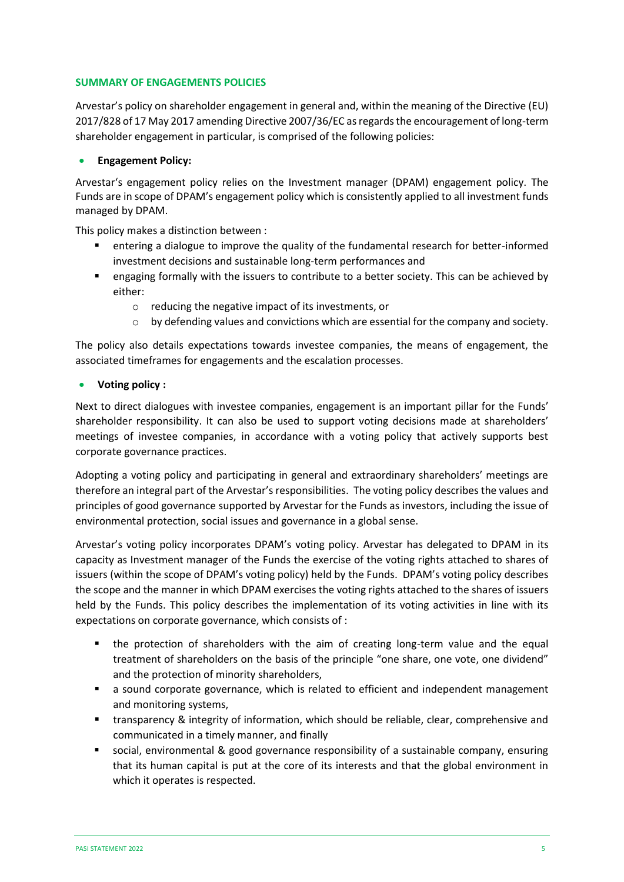#### **SUMMARY OF ENGAGEMENTS POLICIES**

Arvestar's policy on shareholder engagement in general and, within the meaning of the Directive (EU) 2017/828 of 17 May 2017 amending Directive 2007/36/EC as regards the encouragement of long-term shareholder engagement in particular, is comprised of the following policies:

#### • **Engagement Policy:**

Arvestar's engagement policy relies on the Investment manager (DPAM) engagement policy. The Funds are in scope of DPAM's engagement policy which is consistently applied to all investment funds managed by DPAM.

This policy makes a distinction between :

- entering a dialogue to improve the quality of the fundamental research for better-informed investment decisions and sustainable long-term performances and
- engaging formally with the issuers to contribute to a better society. This can be achieved by either:
	- o reducing the negative impact of its investments, or
	- $\circ$  by defending values and convictions which are essential for the company and society.

The policy also details expectations towards investee companies, the means of engagement, the associated timeframes for engagements and the escalation processes.

#### • **Voting policy :**

Next to direct dialogues with investee companies, engagement is an important pillar for the Funds' shareholder responsibility. It can also be used to support voting decisions made at shareholders' meetings of investee companies, in accordance with a voting policy that actively supports best corporate governance practices.

Adopting a voting policy and participating in general and extraordinary shareholders' meetings are therefore an integral part of the Arvestar's responsibilities. The voting policy describes the values and principles of good governance supported by Arvestar for the Funds as investors, including the issue of environmental protection, social issues and governance in a global sense.

Arvestar's voting policy incorporates DPAM's voting policy. Arvestar has delegated to DPAM in its capacity as Investment manager of the Funds the exercise of the voting rights attached to shares of issuers (within the scope of DPAM's voting policy) held by the Funds. DPAM's voting policy describes the scope and the manner in which DPAM exercises the voting rights attached to the shares of issuers held by the Funds. This policy describes the implementation of its voting activities in line with its expectations on corporate governance, which consists of :

- the protection of shareholders with the aim of creating long-term value and the equal treatment of shareholders on the basis of the principle "one share, one vote, one dividend" and the protection of minority shareholders,
- a sound corporate governance, which is related to efficient and independent management and monitoring systems,
- transparency & integrity of information, which should be reliable, clear, comprehensive and communicated in a timely manner, and finally
- social, environmental & good governance responsibility of a sustainable company, ensuring that its human capital is put at the core of its interests and that the global environment in which it operates is respected.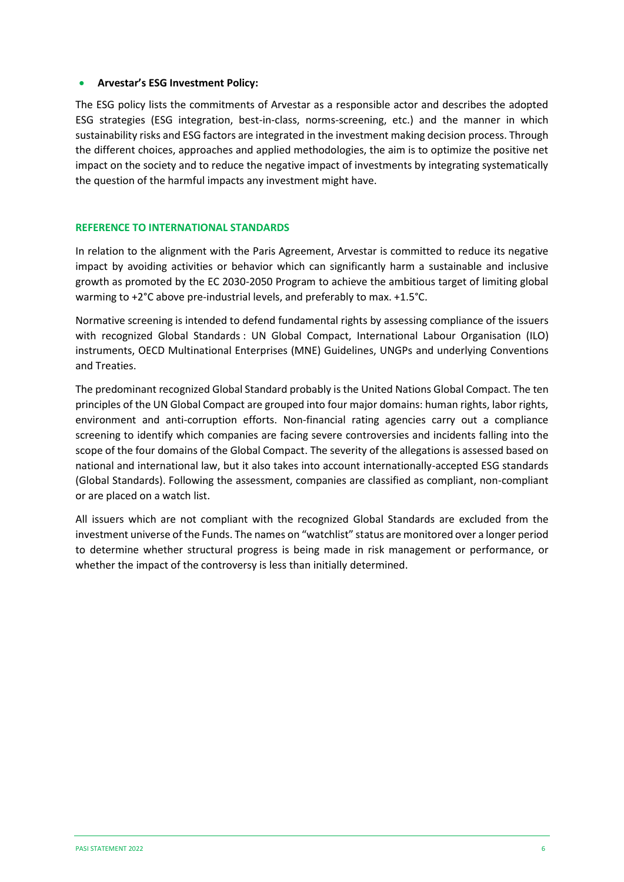#### • **Arvestar's ESG Investment Policy:**

The ESG policy lists the commitments of Arvestar as a responsible actor and describes the adopted ESG strategies (ESG integration, best-in-class, norms-screening, etc.) and the manner in which sustainability risks and ESG factors are integrated in the investment making decision process. Through the different choices, approaches and applied methodologies, the aim is to optimize the positive net impact on the society and to reduce the negative impact of investments by integrating systematically the question of the harmful impacts any investment might have.

#### **REFERENCE TO INTERNATIONAL STANDARDS**

In relation to the alignment with the Paris Agreement, Arvestar is committed to reduce its negative impact by avoiding activities or behavior which can significantly harm a sustainable and inclusive growth as promoted by the EC 2030-2050 Program to achieve the ambitious target of limiting global warming to +2°C above pre-industrial levels, and preferably to max. +1.5°C.

Normative screening is intended to defend fundamental rights by assessing compliance of the issuers with recognized Global Standards : UN Global Compact, International Labour Organisation (ILO) instruments, OECD Multinational Enterprises (MNE) Guidelines, UNGPs and underlying Conventions and Treaties.

The predominant recognized Global Standard probably is the United Nations Global Compact. The ten principles of the UN Global Compact are grouped into four major domains: human rights, labor rights, environment and anti-corruption efforts. Non-financial rating agencies carry out a compliance screening to identify which companies are facing severe controversies and incidents falling into the scope of the four domains of the Global Compact. The severity of the allegations is assessed based on national and international law, but it also takes into account internationally-accepted ESG standards (Global Standards). Following the assessment, companies are classified as compliant, non-compliant or are placed on a watch list.

All issuers which are not compliant with the recognized Global Standards are excluded from the investment universe of the Funds. The names on "watchlist" status are monitored over a longer period to determine whether structural progress is being made in risk management or performance, or whether the impact of the controversy is less than initially determined.